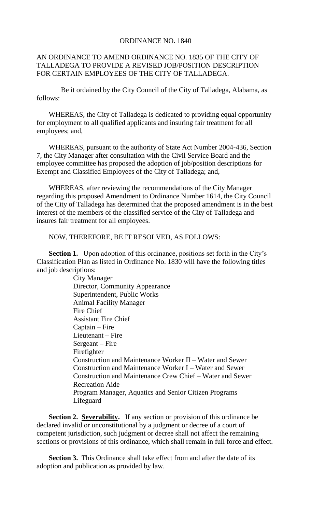## ORDINANCE NO. 1840

## AN ORDINANCE TO AMEND ORDINANCE NO. 1835 OF THE CITY OF TALLADEGA TO PROVIDE A REVISED JOB/POSITION DESCRIPTION FOR CERTAIN EMPLOYEES OF THE CITY OF TALLADEGA.

Be it ordained by the City Council of the City of Talladega, Alabama, as follows:

WHEREAS, the City of Talladega is dedicated to providing equal opportunity for employment to all qualified applicants and insuring fair treatment for all employees; and,

WHEREAS, pursuant to the authority of State Act Number 2004-436, Section 7, the City Manager after consultation with the Civil Service Board and the employee committee has proposed the adoption of job/position descriptions for Exempt and Classified Employees of the City of Talladega; and,

WHEREAS, after reviewing the recommendations of the City Manager regarding this proposed Amendment to Ordinance Number 1614, the City Council of the City of Talladega has determined that the proposed amendment is in the best interest of the members of the classified service of the City of Talladega and insures fair treatment for all employees.

NOW, THEREFORE, BE IT RESOLVED, AS FOLLOWS:

**Section 1.** Upon adoption of this ordinance, positions set forth in the City's Classification Plan as listed in Ordinance No. 1830 will have the following titles and job descriptions:

> City Manager Director, Community Appearance Superintendent, Public Works Animal Facility Manager Fire Chief Assistant Fire Chief Captain – Fire Lieutenant – Fire Sergeant – Fire Firefighter Construction and Maintenance Worker II – Water and Sewer Construction and Maintenance Worker I – Water and Sewer Construction and Maintenance Crew Chief – Water and Sewer Recreation Aide Program Manager, Aquatics and Senior Citizen Programs Lifeguard

**Section 2. Severability.** If any section or provision of this ordinance be declared invalid or unconstitutional by a judgment or decree of a court of competent jurisdiction, such judgment or decree shall not affect the remaining sections or provisions of this ordinance, which shall remain in full force and effect.

**Section 3.** This Ordinance shall take effect from and after the date of its adoption and publication as provided by law.